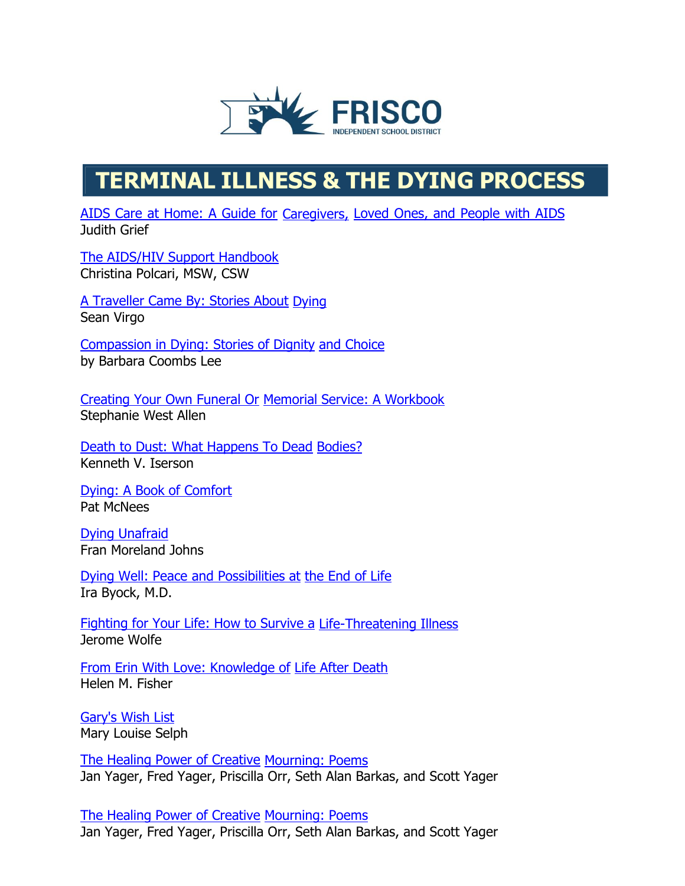

## **TERMINAL ILLNESS & THE DYING PROCESS**

[AIDS Care at Home: A Guide for](http://www.amazon.com/exec/obidos/ASIN/0471584681/griefnet) [Caregivers,](http://www.amazon.com/exec/obidos/ASIN/0471584681/griefnet) Loved Ones, and [People](http://www.amazon.com/exec/obidos/ASIN/0471584681/griefnet) with AIDS Judith Grief

The AIDS/HIV Support [Handbook](http://griefnet.org/bookstore/tlc/order) Christina Polcari, MSW, CSW

A Traveller [Came By: Stories About](http://www.amazon.com/exec/obidos/ASIN/1894345193/griefnet) [Dying](http://www.amazon.com/exec/obidos/ASIN/1894345193/griefnet) Sean Virgo

Compassion in Dying: [Stories of Dignity](http://www.amazon.com/exec/obidos/ASIN/093916549X/griefnet) and [Choice](http://www.amazon.com/exec/obidos/ASIN/093916549X/griefnet) by Barbara Coombs Lee

[Creating Your Own Funeral Or](http://www.amazon.com/exec/obidos/ASIN/0964420724/griefnet) [Memorial Service: A Workbook](http://www.amazon.com/exec/obidos/ASIN/0964420724/griefnet) Stephanie West Allen

[Death to Dust: What Happens To Dead](http://www.amazon.com/exec/obidos/ASIN/1883620074/griefnet/) [Bodies?](http://www.amazon.com/exec/obidos/ASIN/1883620074/griefnet/) Kenneth V. Iserson

Dying: A Book of [Comfort](http://www.amazon.com/exec/obidos/ASIN/0446674001/griefnet) Pat McNees

Dying [Unafraid](http://www.amazon.com/exec/obidos/ASIN/0912184116/griefnet) Fran Moreland Johns

Dying Well: Peace and [Possibilities](http://www.amazon.com/exec/obidos/ASIN/1573226572/griefnet) at [the End of Life](http://www.amazon.com/exec/obidos/ASIN/1573226572/griefnet) Ira Byock, M.D.

Fighting for Your [Life: How to Survive a](http://www.amazon.com/exec/obidos/ASIN/0967629608/griefnet/) [Life-Threatening Illness](http://www.amazon.com/exec/obidos/ASIN/0967629608/griefnet/) Jerome Wolfe

[From Erin With Love:](http://www.amazon.com/exec/obidos/ASIN/0964765217/griefnet/) Knowledge of Life After [Death](http://www.amazon.com/exec/obidos/ASIN/0964765217/griefnet/) Helen M. Fisher

[Gary's](http://www.amazon.com/exec/obidos/ASIN/1889137111/griefnet) Wish List Mary Louise Selph

[The Healing Power of Creative](http://www.amazon.com/exec/obidos/ASIN/1889262463/griefnet) [Mourning: Poems](http://www.amazon.com/exec/obidos/ASIN/1889262463/griefnet) Jan Yager, Fred Yager, Priscilla Orr, Seth Alan Barkas, and Scott Yager

[The Healing Power of Creative](http://www.amazon.com/exec/obidos/ASIN/1889262471/griefnet) [Mourning: Poems](http://www.amazon.com/exec/obidos/ASIN/1889262471/griefnet) Jan Yager, Fred Yager, Priscilla Orr, Seth Alan Barkas, and Scott Yager